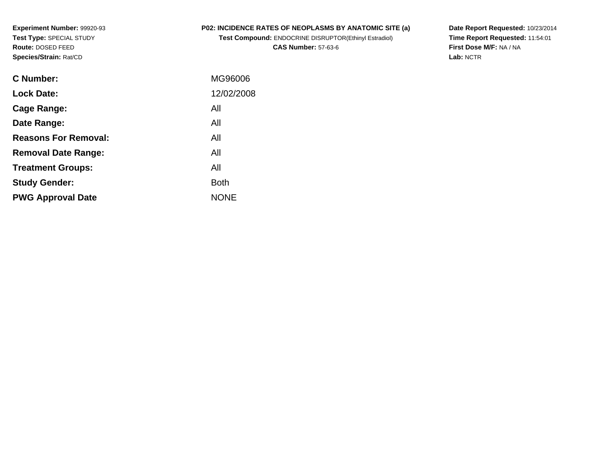**Experiment Number:** 99920-93**Test Type:** SPECIAL STUDY**Route:** DOSED FEED**Species/Strain:** Rat/CD

## **P02: INCIDENCE RATES OF NEOPLASMS BY ANATOMIC SITE (a)**

**Test Compound:** ENDOCRINE DISRUPTOR(Ethinyl Estradiol)**CAS Number:** 57-63-6

**Date Report Requested:** 10/23/2014 **Time Report Requested:** 11:54:01**First Dose M/F:** NA / NA**Lab:** NCTR

| C Number:                   | MG96006     |
|-----------------------------|-------------|
| <b>Lock Date:</b>           | 12/02/2008  |
| Cage Range:                 | All         |
| Date Range:                 | All         |
| <b>Reasons For Removal:</b> | All         |
| <b>Removal Date Range:</b>  | All         |
| <b>Treatment Groups:</b>    | All         |
| <b>Study Gender:</b>        | <b>Both</b> |
| <b>PWG Approval Date</b>    | <b>NONE</b> |
|                             |             |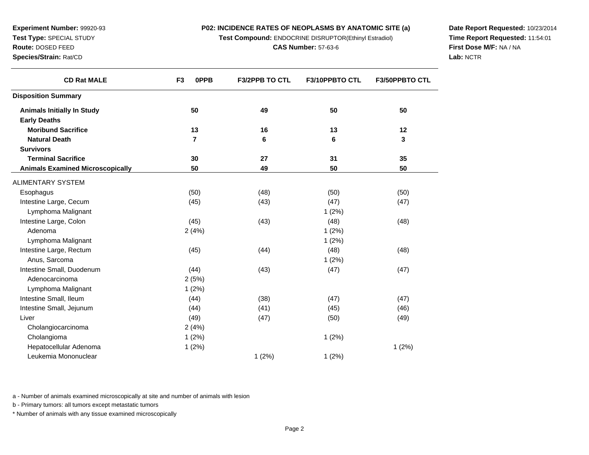**Test Compound:** ENDOCRINE DISRUPTOR(Ethinyl Estradiol)

**CAS Number:** 57-63-6

**Date Report Requested:** 10/23/2014**Time Report Requested:** 11:54:01**First Dose M/F:** NA / NA**Lab:** NCTR

| <b>CD Rat MALE</b>                      | 0PPB<br>F <sub>3</sub> | <b>F3/2PPB TO CTL</b> | F3/10PPBTO CTL | F3/50PPBTO CTL |
|-----------------------------------------|------------------------|-----------------------|----------------|----------------|
| <b>Disposition Summary</b>              |                        |                       |                |                |
| <b>Animals Initially In Study</b>       | 50                     | 49                    | 50             | 50             |
| <b>Early Deaths</b>                     |                        |                       |                |                |
| <b>Moribund Sacrifice</b>               | 13                     | 16                    | 13             | 12             |
| <b>Natural Death</b>                    | 7                      | 6                     | 6              | 3              |
| <b>Survivors</b>                        |                        |                       |                |                |
| <b>Terminal Sacrifice</b>               | 30                     | 27                    | 31             | 35             |
| <b>Animals Examined Microscopically</b> | 50                     | 49                    | 50             | 50             |
| ALIMENTARY SYSTEM                       |                        |                       |                |                |
| Esophagus                               | (50)                   | (48)                  | (50)           | (50)           |
| Intestine Large, Cecum                  | (45)                   | (43)                  | (47)           | (47)           |
| Lymphoma Malignant                      |                        |                       | 1(2%)          |                |
| Intestine Large, Colon                  | (45)                   | (43)                  | (48)           | (48)           |
| Adenoma                                 | 2(4%)                  |                       | 1(2%)          |                |
| Lymphoma Malignant                      |                        |                       | 1(2%)          |                |
| Intestine Large, Rectum                 | (45)                   | (44)                  | (48)           | (48)           |
| Anus, Sarcoma                           |                        |                       | 1(2%)          |                |
| Intestine Small, Duodenum               | (44)                   | (43)                  | (47)           | (47)           |
| Adenocarcinoma                          | 2(5%)                  |                       |                |                |
| Lymphoma Malignant                      | 1(2%)                  |                       |                |                |
| Intestine Small, Ileum                  | (44)                   | (38)                  | (47)           | (47)           |
| Intestine Small, Jejunum                | (44)                   | (41)                  | (45)           | (46)           |
| Liver                                   | (49)                   | (47)                  | (50)           | (49)           |
| Cholangiocarcinoma                      | 2(4%)                  |                       |                |                |
| Cholangioma                             | 1(2%)                  |                       | 1(2%)          |                |
| Hepatocellular Adenoma                  | 1(2%)                  |                       |                | 1(2%)          |
| Leukemia Mononuclear                    |                        | 1(2%)                 | 1(2%)          |                |

a - Number of animals examined microscopically at site and number of animals with lesion

b - Primary tumors: all tumors except metastatic tumors

**Experiment Number:** 99920-93**Test Type:** SPECIAL STUDY**Route:** DOSED FEED**Species/Strain:** Rat/CD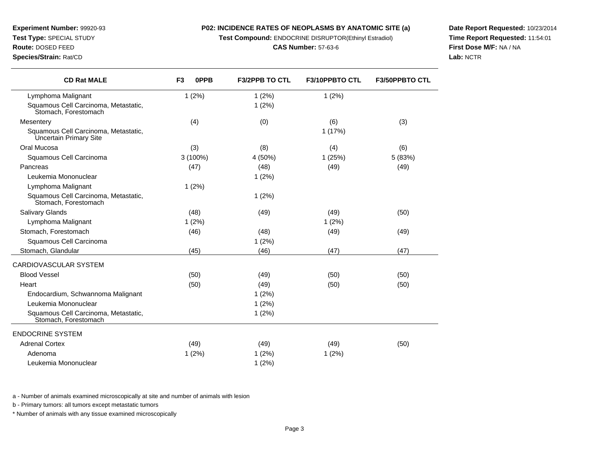**Test Compound:** ENDOCRINE DISRUPTOR(Ethinyl Estradiol)

#### **CAS Number:** 57-63-6

**Date Report Requested:** 10/23/2014**Time Report Requested:** 11:54:01**First Dose M/F:** NA / NA**Lab:** NCTR

| <b>CD Rat MALE</b>                                             | F <sub>3</sub><br>0PPB | <b>F3/2PPB TO CTL</b> | <b>F3/10PPBTO CTL</b> | <b>F3/50PPBTO CTL</b> |
|----------------------------------------------------------------|------------------------|-----------------------|-----------------------|-----------------------|
| Lymphoma Malignant                                             | 1(2%)                  | 1(2%)                 | 1(2%)                 |                       |
| Squamous Cell Carcinoma, Metastatic,<br>Stomach, Forestomach   |                        | 1(2%)                 |                       |                       |
| Mesentery                                                      | (4)                    | (0)                   | (6)                   | (3)                   |
| Squamous Cell Carcinoma, Metastatic,<br>Uncertain Primary Site |                        |                       | 1(17%)                |                       |
| Oral Mucosa                                                    | (3)                    | (8)                   | (4)                   | (6)                   |
| Squamous Cell Carcinoma                                        | $3(100\%)$             | 4 (50%)               | 1(25%)                | 5 (83%)               |
| Pancreas                                                       | (47)                   | (48)                  | (49)                  | (49)                  |
| Leukemia Mononuclear                                           |                        | 1(2%)                 |                       |                       |
| Lymphoma Malignant                                             | 1(2%)                  |                       |                       |                       |
| Squamous Cell Carcinoma, Metastatic,<br>Stomach, Forestomach   |                        | 1(2%)                 |                       |                       |
| Salivary Glands                                                | (48)                   | (49)                  | (49)                  | (50)                  |
| Lymphoma Malignant                                             | 1(2%)                  |                       | 1(2%)                 |                       |
| Stomach, Forestomach                                           | (46)                   | (48)                  | (49)                  | (49)                  |
| Squamous Cell Carcinoma                                        |                        | 1(2%)                 |                       |                       |
| Stomach, Glandular                                             | (45)                   | (46)                  | (47)                  | (47)                  |
| CARDIOVASCULAR SYSTEM                                          |                        |                       |                       |                       |
| <b>Blood Vessel</b>                                            | (50)                   | (49)                  | (50)                  | (50)                  |
| Heart                                                          | (50)                   | (49)                  | (50)                  | (50)                  |
| Endocardium, Schwannoma Malignant                              |                        | 1(2%)                 |                       |                       |
| Leukemia Mononuclear                                           |                        | 1(2%)                 |                       |                       |
| Squamous Cell Carcinoma, Metastatic,<br>Stomach, Forestomach   |                        | 1(2%)                 |                       |                       |
| <b>ENDOCRINE SYSTEM</b>                                        |                        |                       |                       |                       |
| <b>Adrenal Cortex</b>                                          | (49)                   | (49)                  | (49)                  | (50)                  |
| Adenoma                                                        | 1(2%)                  | 1(2%)                 | 1(2%)                 |                       |
| Leukemia Mononuclear                                           |                        | 1(2%)                 |                       |                       |

a - Number of animals examined microscopically at site and number of animals with lesion

b - Primary tumors: all tumors except metastatic tumors

**Experiment Number:** 99920-93**Test Type:** SPECIAL STUDY**Route:** DOSED FEED**Species/Strain:** Rat/CD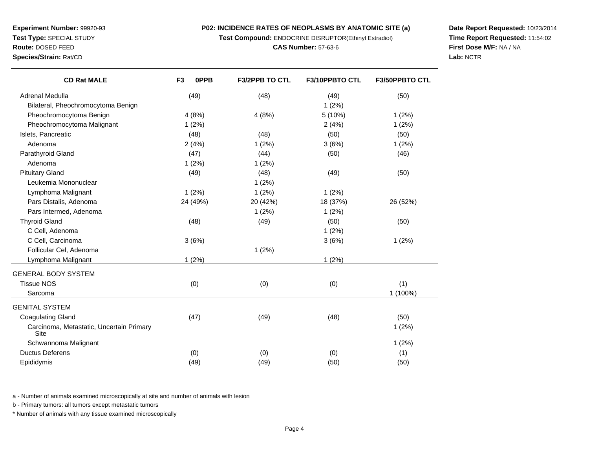**Test Compound:** ENDOCRINE DISRUPTOR(Ethinyl Estradiol)

#### **CAS Number:** 57-63-6

**Date Report Requested:** 10/23/2014**Time Report Requested:** 11:54:02**First Dose M/F:** NA / NA**Lab:** NCTR

| <b>CD Rat MALE</b>                 | F <sub>3</sub><br>0PPB | <b>F3/2PPB TO CTL</b> | <b>F3/10PPBTO CTL</b> | <b>F3/50PPBTO CTL</b> |
|------------------------------------|------------------------|-----------------------|-----------------------|-----------------------|
| Adrenal Medulla                    | (49)                   | (48)                  | (49)                  | (50)                  |
| Bilateral, Pheochromocytoma Benign |                        |                       | 1(2%)                 |                       |
| Pheochromocytoma Benign            | 4(8%)                  | 4(8%)                 | 5 (10%)               | 1(2%)                 |
| Pheochromocytoma Malignant         | 1(2%)                  |                       | 2(4%)                 | 1(2%)                 |
| Islets, Pancreatic                 | (48)                   | (48)                  | (50)                  | (50)                  |
| Adenoma                            | 2(4%)                  | 1(2%)                 | 3(6%)                 | 1(2%)                 |
| Parathyroid Gland                  | (47)                   | (44)                  | (50)                  | (46)                  |
| Adenoma                            | 1(2%)                  | 1(2%)                 |                       |                       |
| <b>Pituitary Gland</b>             | (49)                   | (48)                  | (49)                  | (50)                  |
| Leukemia Mononuclear               |                        | 1(2%)                 |                       |                       |
| Lymphoma Malignant                 | 1(2%)                  | 1(2%)                 | 1(2%)                 |                       |
| Pars Distalis, Adenoma             | 24 (49%)               | 20 (42%)              | 18 (37%)              | 26 (52%)              |
| Pars Intermed, Adenoma             |                        | 1(2%)                 | 1(2%)                 |                       |
| <b>Thyroid Gland</b>               | (48)                   | (49)                  | (50)                  | (50)                  |
| C Cell, Adenoma                    |                        |                       | 1(2%)                 |                       |
| C Cell, Carcinoma                  | 3(6%)                  |                       | 3(6%)                 | 1(2%)                 |
| Follicular Cel, Adenoma            |                        | 1(2%)                 |                       |                       |
| Lymphoma Malignant                 | 1(2%)                  |                       | 1(2%)                 |                       |
| <b>GENERAL BODY SYSTEM</b>         |                        |                       |                       |                       |
| <b>Tissue NOS</b>                  | (0)                    | (0)                   | (0)                   | (1)                   |
| Sarcoma                            |                        |                       |                       | 1 (100%)              |
| <b>GENITAL SYSTEM</b>              |                        |                       |                       |                       |
| <b>Coagulating Gland</b>           | (47)                   | (49)                  | (48)                  | (50)                  |

a - Number of animals examined microscopically at site and number of animals with lesion

b - Primary tumors: all tumors except metastatic tumors

Carcinoma, Metastatic, Uncertain Primary

Site

Epididymis

Ductus Deferens

Schwannoma Malignant

\* Number of animals with any tissue examined microscopically

t the contract of  $1(2\%)$ 

s (0) (0) (0) (0) (0) (1)

s (49) (49) (49) (50) (50)

1 (2%)

**Experiment Number:** 99920-93**Test Type:** SPECIAL STUDY

**Route:** DOSED FEED

**Species/Strain:** Rat/CD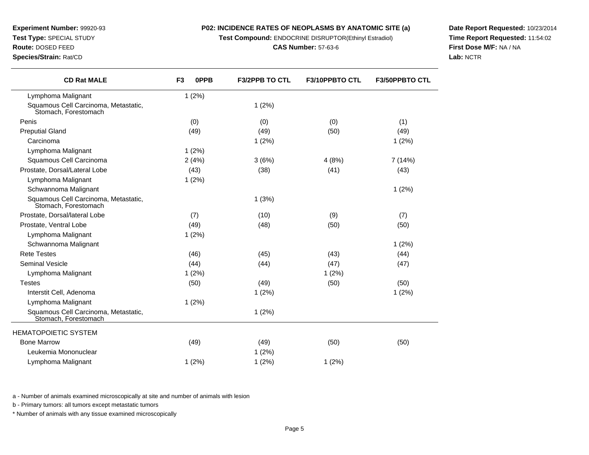**Test Compound:** ENDOCRINE DISRUPTOR(Ethinyl Estradiol)

#### **CAS Number:** 57-63-6

**Date Report Requested:** 10/23/2014**Time Report Requested:** 11:54:02**First Dose M/F:** NA / NA**Lab:** NCTR

| <b>CD Rat MALE</b>                                           | F <sub>3</sub><br>0PPB | <b>F3/2PPB TO CTL</b> | F3/10PPBTO CTL | F3/50PPBTO CTL |
|--------------------------------------------------------------|------------------------|-----------------------|----------------|----------------|
| Lymphoma Malignant                                           | 1(2%)                  |                       |                |                |
| Squamous Cell Carcinoma, Metastatic,<br>Stomach, Forestomach |                        | 1(2%)                 |                |                |
| Penis                                                        | (0)                    | (0)                   | (0)            | (1)            |
| <b>Preputial Gland</b>                                       | (49)                   | (49)                  | (50)           | (49)           |
| Carcinoma                                                    |                        | 1(2%)                 |                | 1(2%)          |
| Lymphoma Malignant                                           | 1(2%)                  |                       |                |                |
| Squamous Cell Carcinoma                                      | 2(4%)                  | 3(6%)                 | 4(8%)          | 7 (14%)        |
| Prostate, Dorsal/Lateral Lobe                                | (43)                   | (38)                  | (41)           | (43)           |
| Lymphoma Malignant                                           | 1(2%)                  |                       |                |                |
| Schwannoma Malignant                                         |                        |                       |                | 1(2%)          |
| Squamous Cell Carcinoma, Metastatic,<br>Stomach, Forestomach |                        | 1(3%)                 |                |                |
| Prostate, Dorsal/lateral Lobe                                | (7)                    | (10)                  | (9)            | (7)            |
| Prostate, Ventral Lobe                                       | (49)                   | (48)                  | (50)           | (50)           |
| Lymphoma Malignant                                           | 1(2%)                  |                       |                |                |
| Schwannoma Malignant                                         |                        |                       |                | 1(2%)          |
| <b>Rete Testes</b>                                           | (46)                   | (45)                  | (43)           | (44)           |
| <b>Seminal Vesicle</b>                                       | (44)                   | (44)                  | (47)           | (47)           |
| Lymphoma Malignant                                           | 1(2%)                  |                       | 1(2%)          |                |
| <b>Testes</b>                                                | (50)                   | (49)                  | (50)           | (50)           |
| Interstit Cell, Adenoma                                      |                        | 1(2%)                 |                | 1(2%)          |
| Lymphoma Malignant                                           | 1(2%)                  |                       |                |                |
| Squamous Cell Carcinoma, Metastatic,<br>Stomach, Forestomach |                        | 1(2%)                 |                |                |
| HEMATOPOIETIC SYSTEM                                         |                        |                       |                |                |
| <b>Bone Marrow</b>                                           | (49)                   | (49)                  | (50)           | (50)           |
| Leukemia Mononuclear                                         |                        | 1(2%)                 |                |                |

1 (2%)

a - Number of animals examined microscopically at site and number of animals with lesion

b - Primary tumors: all tumors except metastatic tumors

Lymphoma Malignant

**Experiment Number:** 99920-93**Test Type:** SPECIAL STUDY**Route:** DOSED FEED**Species/Strain:** Rat/CD

\* Number of animals with any tissue examined microscopically

 $1 (2\%)$  1 (2%)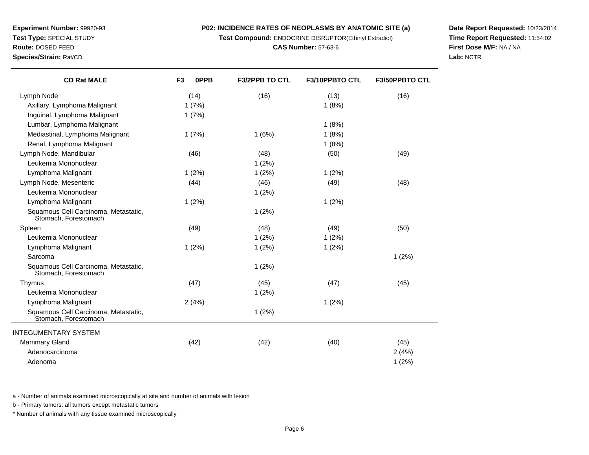**Test Compound:** ENDOCRINE DISRUPTOR(Ethinyl Estradiol)

#### **CAS Number:** 57-63-6

**Date Report Requested:** 10/23/2014**Time Report Requested:** 11:54:02**First Dose M/F:** NA / NA**Lab:** NCTR

| Experiment Number: 99920-93     |
|---------------------------------|
| <b>Test Type: SPECIAL STUDY</b> |
| <b>Route: DOSED FEED</b>        |
| <b>Species/Strain: Rat/CD</b>   |
|                                 |
| CD Dat MAI E                    |

| <b>CD Rat MALE</b>                                           | F3<br>0PPB | <b>F3/2PPB TO CTL</b> | <b>F3/10PPBTO CTL</b> | <b>F3/50PPBTO CTL</b> |
|--------------------------------------------------------------|------------|-----------------------|-----------------------|-----------------------|
| Lymph Node                                                   | (14)       | (16)                  | (13)                  | (16)                  |
| Axillary, Lymphoma Malignant                                 | 1(7%)      |                       | 1(8%)                 |                       |
| Inguinal, Lymphoma Malignant                                 | 1(7%)      |                       |                       |                       |
| Lumbar, Lymphoma Malignant                                   |            |                       | 1(8%)                 |                       |
| Mediastinal, Lymphoma Malignant                              | 1(7%)      | 1(6%)                 | 1(8%)                 |                       |
| Renal, Lymphoma Malignant                                    |            |                       | 1(8%)                 |                       |
| Lymph Node, Mandibular                                       | (46)       | (48)                  | (50)                  | (49)                  |
| Leukemia Mononuclear                                         |            | 1(2%)                 |                       |                       |
| Lymphoma Malignant                                           | 1(2%)      | 1(2%)                 | 1(2%)                 |                       |
| Lymph Node, Mesenteric                                       | (44)       | (46)                  | (49)                  | (48)                  |
| Leukemia Mononuclear                                         |            | 1(2%)                 |                       |                       |
| Lymphoma Malignant                                           | 1(2%)      |                       | 1(2%)                 |                       |
| Squamous Cell Carcinoma, Metastatic,<br>Stomach, Forestomach |            | 1(2%)                 |                       |                       |
| Spleen                                                       | (49)       | (48)                  | (49)                  | (50)                  |
| Leukemia Mononuclear                                         |            | 1(2%)                 | 1(2%)                 |                       |
| Lymphoma Malignant                                           | 1(2%)      | 1(2%)                 | 1(2%)                 |                       |
| Sarcoma                                                      |            |                       |                       | 1(2%)                 |
| Squamous Cell Carcinoma, Metastatic,<br>Stomach, Forestomach |            | 1(2%)                 |                       |                       |
| Thymus                                                       | (47)       | (45)                  | (47)                  | (45)                  |
| Leukemia Mononuclear                                         |            | 1(2%)                 |                       |                       |
| Lymphoma Malignant                                           | 2(4%)      |                       | 1(2%)                 |                       |
| Squamous Cell Carcinoma, Metastatic,<br>Stomach, Forestomach |            | 1(2%)                 |                       |                       |
| <b>INTEGUMENTARY SYSTEM</b>                                  |            |                       |                       |                       |
| <b>Mammary Gland</b>                                         | (42)       | (42)                  | (40)                  | (45)                  |
| Adenocarcinoma                                               |            |                       |                       | 2(4%)                 |
| Adenoma                                                      |            |                       |                       | 1(2%)                 |

a - Number of animals examined microscopically at site and number of animals with lesion

b - Primary tumors: all tumors except metastatic tumors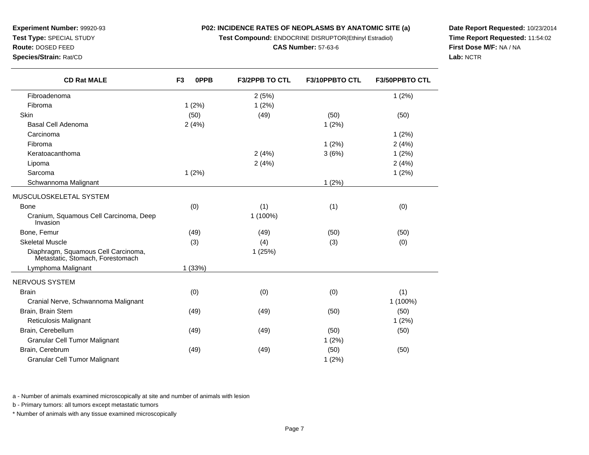**Test Compound:** ENDOCRINE DISRUPTOR(Ethinyl Estradiol)

#### **CAS Number:** 57-63-6

**Date Report Requested:** 10/23/2014**Time Report Requested:** 11:54:02**First Dose M/F:** NA / NA**Lab:** NCTR

| <b>Route: DOSED FEED</b><br>Species/Strain: Rat/CD |                        | <b>CAS Number: 57-63-6</b> |                       |                       |  |  |
|----------------------------------------------------|------------------------|----------------------------|-----------------------|-----------------------|--|--|
| <b>CD Rat MALE</b>                                 | 0PPB<br>F <sub>3</sub> | <b>F3/2PPB TO CTL</b>      | <b>F3/10PPBTO CTL</b> | <b>F3/50PPBTO CTL</b> |  |  |
| Fibroadenoma                                       |                        | 2(5%)                      |                       | 1 (2%)                |  |  |

**Experiment Number:** 99920-93**Test Type:** SPECIAL STUDY

| Fibroadenoma                                                            |        | 2(5%)    |       | 1(2%)    |
|-------------------------------------------------------------------------|--------|----------|-------|----------|
| Fibroma                                                                 | 1(2%)  | 1(2%)    |       |          |
| Skin                                                                    | (50)   | (49)     | (50)  | (50)     |
| Basal Cell Adenoma                                                      | 2(4%)  |          | 1(2%) |          |
| Carcinoma                                                               |        |          |       | 1(2%)    |
| Fibroma                                                                 |        |          | 1(2%) | 2(4%)    |
| Keratoacanthoma                                                         |        | 2(4%)    | 3(6%) | 1(2%)    |
| Lipoma                                                                  |        | 2(4%)    |       | 2(4%)    |
| Sarcoma                                                                 | 1(2%)  |          |       | 1(2%)    |
| Schwannoma Malignant                                                    |        |          | 1(2%) |          |
| MUSCULOSKELETAL SYSTEM                                                  |        |          |       |          |
| <b>Bone</b>                                                             | (0)    | (1)      | (1)   | (0)      |
| Cranium, Squamous Cell Carcinoma, Deep<br>Invasion                      |        | 1 (100%) |       |          |
| Bone, Femur                                                             | (49)   | (49)     | (50)  | (50)     |
| <b>Skeletal Muscle</b>                                                  | (3)    | (4)      | (3)   | (0)      |
| Diaphragm, Squamous Cell Carcinoma,<br>Metastatic, Stomach, Forestomach |        | 1(25%)   |       |          |
| Lymphoma Malignant                                                      | 1(33%) |          |       |          |
| NERVOUS SYSTEM                                                          |        |          |       |          |
| <b>Brain</b>                                                            | (0)    | (0)      | (0)   | (1)      |
| Cranial Nerve, Schwannoma Malignant                                     |        |          |       | 1 (100%) |
| Brain, Brain Stem                                                       | (49)   | (49)     | (50)  | (50)     |
| Reticulosis Malignant                                                   |        |          |       | $1(2\%)$ |
| Brain, Cerebellum                                                       | (49)   | (49)     | (50)  | (50)     |
| <b>Granular Cell Tumor Malignant</b>                                    |        |          | 1(2%) |          |
| Brain, Cerebrum                                                         | (49)   | (49)     | (50)  | (50)     |
| <b>Granular Cell Tumor Malignant</b>                                    |        |          | 1(2%) |          |

a - Number of animals examined microscopically at site and number of animals with lesion

b - Primary tumors: all tumors except metastatic tumors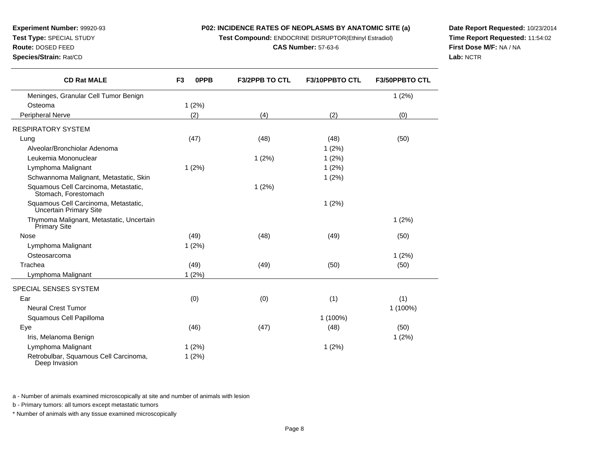**Test Compound:** ENDOCRINE DISRUPTOR(Ethinyl Estradiol)

#### **CAS Number:** 57-63-6

**Date Report Requested:** 10/23/2014**Time Report Requested:** 11:54:02**First Dose M/F:** NA / NA**Lab:** NCTR

**Experiment Number:** 99920-93

**Species/Strain:** Rat/CD

| <b>CD Rat MALE</b>                                             | F <sub>3</sub><br>0PPB | F3/2PPB TO CTL | F3/10PPBTO CTL | <b>F3/50PPBTO CTL</b> |
|----------------------------------------------------------------|------------------------|----------------|----------------|-----------------------|
| Meninges, Granular Cell Tumor Benign                           |                        |                |                | 1(2%)                 |
| Osteoma                                                        | 1(2%)                  |                |                |                       |
| <b>Peripheral Nerve</b>                                        | (2)                    | (4)            | (2)            | (0)                   |
| <b>RESPIRATORY SYSTEM</b>                                      |                        |                |                |                       |
| Lung                                                           | (47)                   | (48)           | (48)           | (50)                  |
| Alveolar/Bronchiolar Adenoma                                   |                        |                | 1(2%)          |                       |
| Leukemia Mononuclear                                           |                        | 1(2%)          | 1(2%)          |                       |
| Lymphoma Malignant                                             | 1(2%)                  |                | 1(2%)          |                       |
| Schwannoma Malignant, Metastatic, Skin                         |                        |                | 1(2%)          |                       |
| Squamous Cell Carcinoma, Metastatic,<br>Stomach, Forestomach   |                        | 1(2%)          |                |                       |
| Squamous Cell Carcinoma, Metastatic,<br>Uncertain Primary Site |                        |                | 1(2%)          |                       |
| Thymoma Malignant, Metastatic, Uncertain<br>Primary Site       |                        |                |                | 1(2%)                 |
| Nose                                                           | (49)                   | (48)           | (49)           | (50)                  |
| Lymphoma Malignant                                             | 1(2%)                  |                |                |                       |
| Osteosarcoma                                                   |                        |                |                | 1(2%)                 |
| Trachea                                                        | (49)                   | (49)           | (50)           | (50)                  |
| Lymphoma Malignant                                             | 1(2%)                  |                |                |                       |
| SPECIAL SENSES SYSTEM                                          |                        |                |                |                       |
| Ear                                                            | (0)                    | (0)            | (1)            | (1)                   |
| <b>Neural Crest Tumor</b>                                      |                        |                |                | 1 (100%)              |
| Squamous Cell Papilloma                                        |                        |                | 1 (100%)       |                       |
| Eye                                                            | (46)                   | (47)           | (48)           | (50)                  |
| Iris, Melanoma Benign                                          |                        |                |                | 1(2%)                 |
| Lymphoma Malignant                                             | 1(2%)                  |                | 1(2%)          |                       |
| Retrobulbar, Squamous Cell Carcinoma,<br>Deep Invasion         | 1(2%)                  |                |                |                       |

a - Number of animals examined microscopically at site and number of animals with lesion

b - Primary tumors: all tumors except metastatic tumors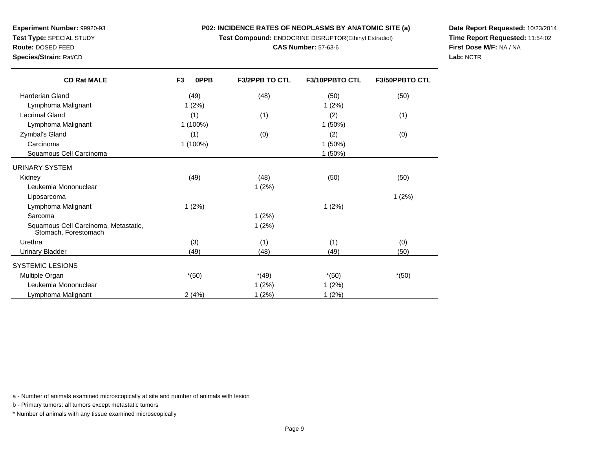**Test Compound:** ENDOCRINE DISRUPTOR(Ethinyl Estradiol)

**CAS Number:** 57-63-6

**Date Report Requested:** 10/23/2014**Time Report Requested:** 11:54:02**First Dose M/F:** NA / NA**Lab:** NCTR

a - Number of animals examined microscopically at site and number of animals with lesion

b - Primary tumors: all tumors except metastatic tumors

\* Number of animals with any tissue examined microscopically

| <b>CD Rat MALE</b>                                           | F <sub>3</sub><br>0PPB | <b>F3/2PPB TO CTL</b> | F3/10PPBTO CTL | <b>F3/50PPBTO CTL</b> |
|--------------------------------------------------------------|------------------------|-----------------------|----------------|-----------------------|
| Harderian Gland                                              | (49)                   | (48)                  | (50)           | (50)                  |
| Lymphoma Malignant                                           | 1(2%)                  |                       | 1(2%)          |                       |
| <b>Lacrimal Gland</b>                                        | (1)                    | (1)                   | (2)            | (1)                   |
| Lymphoma Malignant                                           | 1 (100%)               |                       | 1(50%)         |                       |
| Zymbal's Gland                                               | (1)                    | (0)                   | (2)            | (0)                   |
| Carcinoma                                                    | 1 (100%)               |                       | 1(50%)         |                       |
| Squamous Cell Carcinoma                                      |                        |                       | 1(50%)         |                       |
| URINARY SYSTEM                                               |                        |                       |                |                       |
| Kidney                                                       | (49)                   | (48)                  | (50)           | (50)                  |
| Leukemia Mononuclear                                         |                        | 1(2%)                 |                |                       |
| Liposarcoma                                                  |                        |                       |                | 1(2%)                 |
| Lymphoma Malignant                                           | 1(2%)                  |                       | 1(2%)          |                       |
| Sarcoma                                                      |                        | 1(2%)                 |                |                       |
| Squamous Cell Carcinoma, Metastatic,<br>Stomach, Forestomach |                        | 1(2%)                 |                |                       |
| Urethra                                                      | (3)                    | (1)                   | (1)            | (0)                   |
| <b>Urinary Bladder</b>                                       | (49)                   | (48)                  | (49)           | (50)                  |
| <b>SYSTEMIC LESIONS</b>                                      |                        |                       |                |                       |
| Multiple Organ                                               | $*(50)$                | $*(49)$               | $*(50)$        | $*(50)$               |
| Leukemia Mononuclear                                         |                        | 1(2%)                 | 1(2%)          |                       |
| Lymphoma Malignant                                           | 2(4%)                  | 1(2%)                 | 1(2%)          |                       |

# **Experiment Number:** 99920-93**Test Type:** SPECIAL STUDY**Route:** DOSED FEED**Species/Strain:** Rat/CD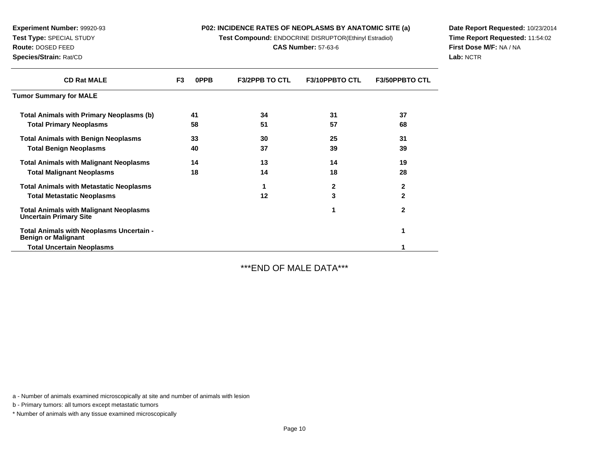**Test Compound:** ENDOCRINE DISRUPTOR(Ethinyl Estradiol)

**CAS Number:** 57-63-6

**Date Report Requested:** 10/23/2014**Time Report Requested:** 11:54:02**First Dose M/F:** NA / NA**Lab:** NCTR

| <b>CD Rat MALE</b>                                                             | F <sub>3</sub> | <b>OPPB</b> | <b>F3/2PPB TO CTL</b> | <b>F3/10PPBTO CTL</b> | <b>F3/50PPBTO CTL</b> |
|--------------------------------------------------------------------------------|----------------|-------------|-----------------------|-----------------------|-----------------------|
| <b>Tumor Summary for MALE</b>                                                  |                |             |                       |                       |                       |
| <b>Total Animals with Primary Neoplasms (b)</b>                                |                | 41          | 34                    | 31                    | 37                    |
| <b>Total Primary Neoplasms</b>                                                 |                | 58          | 51                    | 57                    | 68                    |
| <b>Total Animals with Benign Neoplasms</b>                                     |                | 33          | 30                    | 25                    | 31                    |
| <b>Total Benign Neoplasms</b>                                                  |                | 40          | 37                    | 39                    | 39                    |
| <b>Total Animals with Malignant Neoplasms</b>                                  |                | 14          | 13                    | 14                    | 19                    |
| <b>Total Malignant Neoplasms</b>                                               |                | 18          | 14                    | 18                    | 28                    |
| <b>Total Animals with Metastatic Neoplasms</b>                                 |                |             |                       | 2                     | $\mathbf{2}$          |
| <b>Total Metastatic Neoplasms</b>                                              |                |             | 12                    | 3                     | $\mathbf{2}$          |
| <b>Total Animals with Malignant Neoplasms</b><br><b>Uncertain Primary Site</b> |                |             |                       | 1                     | $\mathbf{2}$          |
| Total Animals with Neoplasms Uncertain -<br><b>Benign or Malignant</b>         |                |             |                       |                       | 1                     |
| <b>Total Uncertain Neoplasms</b>                                               |                |             |                       |                       |                       |
|                                                                                |                |             |                       |                       |                       |

\*\*\*END OF MALE DATA\*\*\*

a - Number of animals examined microscopically at site and number of animals with lesion

b - Primary tumors: all tumors except metastatic tumors

**Experiment Number:** 99920-93**Test Type:** SPECIAL STUDY**Route:** DOSED FEED**Species/Strain:** Rat/CD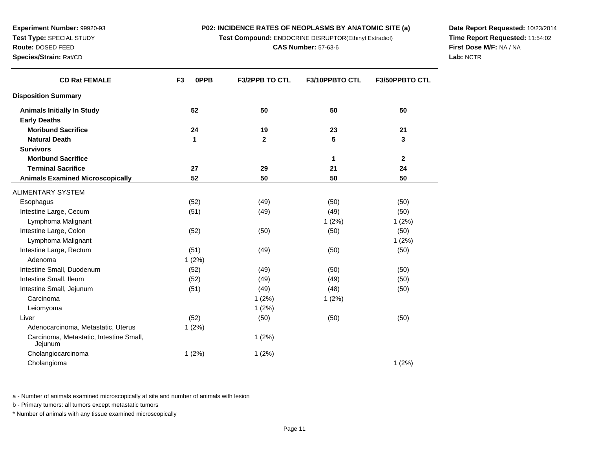**Test Compound:** ENDOCRINE DISRUPTOR(Ethinyl Estradiol)

**CAS Number:** 57-63-6

**Date Report Requested:** 10/23/2014**Time Report Requested:** 11:54:02**First Dose M/F:** NA / NA**Lab:** NCTR

a - Number of animals examined microscopically at site and number of animals with lesion

b - Primary tumors: all tumors except metastatic tumors

\* Number of animals with any tissue examined microscopically

| <b>CD Rat FEMALE</b>                               | F <sub>3</sub><br>0PPB | <b>F3/2PPB TO CTL</b> | F3/10PPBTO CTL | <b>F3/50PPBTO CTL</b> |
|----------------------------------------------------|------------------------|-----------------------|----------------|-----------------------|
| <b>Disposition Summary</b>                         |                        |                       |                |                       |
| <b>Animals Initially In Study</b>                  | 52                     | 50                    | 50             | 50                    |
| <b>Early Deaths</b>                                |                        |                       |                |                       |
| <b>Moribund Sacrifice</b>                          | 24                     | 19                    | 23             | 21                    |
| <b>Natural Death</b>                               | 1                      | $\mathbf{2}$          | 5              | 3                     |
| <b>Survivors</b>                                   |                        |                       |                |                       |
| <b>Moribund Sacrifice</b>                          |                        |                       | 1              | $\mathbf{2}$          |
| <b>Terminal Sacrifice</b>                          | 27                     | 29                    | 21             | 24                    |
| <b>Animals Examined Microscopically</b>            | 52                     | 50                    | 50             | 50                    |
| ALIMENTARY SYSTEM                                  |                        |                       |                |                       |
| Esophagus                                          | (52)                   | (49)                  | (50)           | (50)                  |
| Intestine Large, Cecum                             | (51)                   | (49)                  | (49)           | (50)                  |
| Lymphoma Malignant                                 |                        |                       | 1(2%)          | 1(2%)                 |
| Intestine Large, Colon                             | (52)                   | (50)                  | (50)           | (50)                  |
| Lymphoma Malignant                                 |                        |                       |                | 1(2%)                 |
| Intestine Large, Rectum                            | (51)                   | (49)                  | (50)           | (50)                  |
| Adenoma                                            | 1(2%)                  |                       |                |                       |
| Intestine Small, Duodenum                          | (52)                   | (49)                  | (50)           | (50)                  |
| Intestine Small, Ileum                             | (52)                   | (49)                  | (49)           | (50)                  |
| Intestine Small, Jejunum                           | (51)                   | (49)                  | (48)           | (50)                  |
| Carcinoma                                          |                        | 1(2%)                 | 1(2%)          |                       |
| Leiomyoma                                          |                        | 1(2%)                 |                |                       |
| Liver                                              | (52)                   | (50)                  | (50)           | (50)                  |
| Adenocarcinoma, Metastatic, Uterus                 | 1(2%)                  |                       |                |                       |
| Carcinoma, Metastatic, Intestine Small,<br>Jejunum |                        | 1(2%)                 |                |                       |
| Cholangiocarcinoma                                 | 1(2%)                  | 1(2%)                 |                |                       |
| Cholangioma                                        |                        |                       |                | 1(2%)                 |

**Experiment Number:** 99920-93**Test Type:** SPECIAL STUDY

**Route:** DOSED FEED

**Species/Strain:** Rat/CD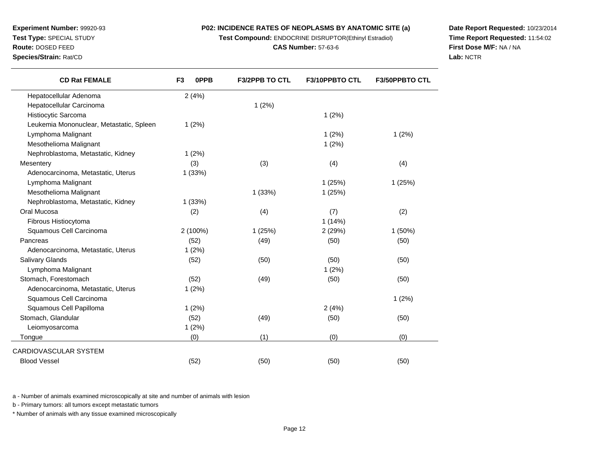**Test Compound:** ENDOCRINE DISRUPTOR(Ethinyl Estradiol)

**CAS Number:** 57-63-6

**Date Report Requested:** 10/23/2014**Time Report Requested:** 11:54:02**First Dose M/F:** NA / NA**Lab:** NCTR

| <b>Experiment Number: 99920-93</b> |  |
|------------------------------------|--|
| <b>Test Type: SPECIAL STUDY</b>    |  |

**Route:** DOSED FEED

**Species/Strain:** Rat/CD

| <b>CD Rat FEMALE</b>                     | F <sub>3</sub><br>0PPB | <b>F3/2PPB TO CTL</b> | F3/10PPBTO CTL | F3/50PPBTO CTL |
|------------------------------------------|------------------------|-----------------------|----------------|----------------|
| Hepatocellular Adenoma                   | 2(4%)                  |                       |                |                |
| Hepatocellular Carcinoma                 |                        | 1(2%)                 |                |                |
| Histiocytic Sarcoma                      |                        |                       | 1(2%)          |                |
| Leukemia Mononuclear, Metastatic, Spleen | 1(2%)                  |                       |                |                |
| Lymphoma Malignant                       |                        |                       | 1(2%)          | 1(2%)          |
| Mesothelioma Malignant                   |                        |                       | 1(2%)          |                |
| Nephroblastoma, Metastatic, Kidney       | 1(2%)                  |                       |                |                |
| Mesentery                                | (3)                    | (3)                   | (4)            | (4)            |
| Adenocarcinoma, Metastatic, Uterus       | 1(33%)                 |                       |                |                |
| Lymphoma Malignant                       |                        |                       | 1(25%)         | 1(25%)         |
| Mesothelioma Malignant                   |                        | 1(33%)                | 1(25%)         |                |
| Nephroblastoma, Metastatic, Kidney       | 1(33%)                 |                       |                |                |
| Oral Mucosa                              | (2)                    | (4)                   | (7)            | (2)            |
| Fibrous Histiocytoma                     |                        |                       | 1(14%)         |                |
| Squamous Cell Carcinoma                  | 2 (100%)               | 1(25%)                | 2(29%)         | 1(50%)         |
| Pancreas                                 | (52)                   | (49)                  | (50)           | (50)           |
| Adenocarcinoma, Metastatic, Uterus       | 1(2%)                  |                       |                |                |
| Salivary Glands                          | (52)                   | (50)                  | (50)           | (50)           |
| Lymphoma Malignant                       |                        |                       | 1(2%)          |                |
| Stomach, Forestomach                     | (52)                   | (49)                  | (50)           | (50)           |
| Adenocarcinoma, Metastatic, Uterus       | 1(2%)                  |                       |                |                |
| Squamous Cell Carcinoma                  |                        |                       |                | 1(2%)          |
| Squamous Cell Papilloma                  | 1(2%)                  |                       | 2(4%)          |                |
| Stomach, Glandular                       | (52)                   | (49)                  | (50)           | (50)           |
| Leiomyosarcoma                           | 1(2%)                  |                       |                |                |
| Tongue                                   | (0)                    | (1)                   | (0)            | (0)            |
| CARDIOVASCULAR SYSTEM                    |                        |                       |                |                |
| <b>Blood Vessel</b>                      | (52)                   | (50)                  | (50)           | (50)           |

a - Number of animals examined microscopically at site and number of animals with lesion

b - Primary tumors: all tumors except metastatic tumors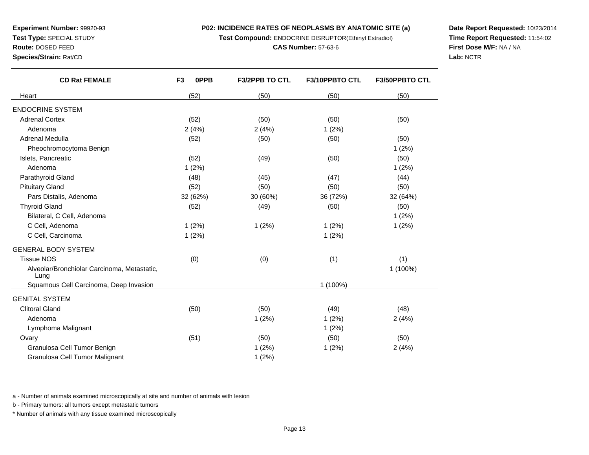**Test Compound:** ENDOCRINE DISRUPTOR(Ethinyl Estradiol)

#### **CAS Number:** 57-63-6

**Date Report Requested:** 10/23/2014**Time Report Requested:** 11:54:02**First Dose M/F:** NA / NA**Lab:** NCTR

**Experiment Number:** 99920-93**Test Type:** SPECIAL STUDY

**Species/Strain:** Rat/CD

| <b>CD Rat FEMALE</b>                                | F <sub>3</sub><br>0PPB | <b>F3/2PPB TO CTL</b> | F3/10PPBTO CTL | F3/50PPBTO CTL |
|-----------------------------------------------------|------------------------|-----------------------|----------------|----------------|
| Heart                                               | (52)                   | (50)                  | (50)           | (50)           |
| <b>ENDOCRINE SYSTEM</b>                             |                        |                       |                |                |
| <b>Adrenal Cortex</b>                               | (52)                   | (50)                  | (50)           | (50)           |
| Adenoma                                             | 2(4%)                  | 2(4%)                 | 1(2%)          |                |
| Adrenal Medulla                                     | (52)                   | (50)                  | (50)           | (50)           |
| Pheochromocytoma Benign                             |                        |                       |                | 1(2%)          |
| Islets, Pancreatic                                  | (52)                   | (49)                  | (50)           | (50)           |
| Adenoma                                             | 1(2%)                  |                       |                | 1(2%)          |
| Parathyroid Gland                                   | (48)                   | (45)                  | (47)           | (44)           |
| <b>Pituitary Gland</b>                              | (52)                   | (50)                  | (50)           | (50)           |
| Pars Distalis, Adenoma                              | 32 (62%)               | 30 (60%)              | 36 (72%)       | 32 (64%)       |
| <b>Thyroid Gland</b>                                | (52)                   | (49)                  | (50)           | (50)           |
| Bilateral, C Cell, Adenoma                          |                        |                       |                | 1(2%)          |
| C Cell, Adenoma                                     | 1(2%)                  | 1(2%)                 | 1(2%)          | 1(2%)          |
| C Cell, Carcinoma                                   | 1(2%)                  |                       | 1(2%)          |                |
| GENERAL BODY SYSTEM                                 |                        |                       |                |                |
| <b>Tissue NOS</b>                                   | (0)                    | (0)                   | (1)            | (1)            |
| Alveolar/Bronchiolar Carcinoma, Metastatic,<br>Lung |                        |                       |                | 1 (100%)       |
| Squamous Cell Carcinoma, Deep Invasion              |                        |                       | 1 (100%)       |                |
| <b>GENITAL SYSTEM</b>                               |                        |                       |                |                |
| <b>Clitoral Gland</b>                               | (50)                   | (50)                  | (49)           | (48)           |
| Adenoma                                             |                        | 1(2%)                 | 1(2%)          | 2(4%)          |
| Lymphoma Malignant                                  |                        |                       | 1(2%)          |                |
| Ovary                                               | (51)                   | (50)                  | (50)           | (50)           |
| Granulosa Cell Tumor Benign                         |                        | 1(2%)                 | 1(2%)          | 2(4%)          |
| Granulosa Cell Tumor Malignant                      |                        | 1(2%)                 |                |                |

a - Number of animals examined microscopically at site and number of animals with lesion

b - Primary tumors: all tumors except metastatic tumors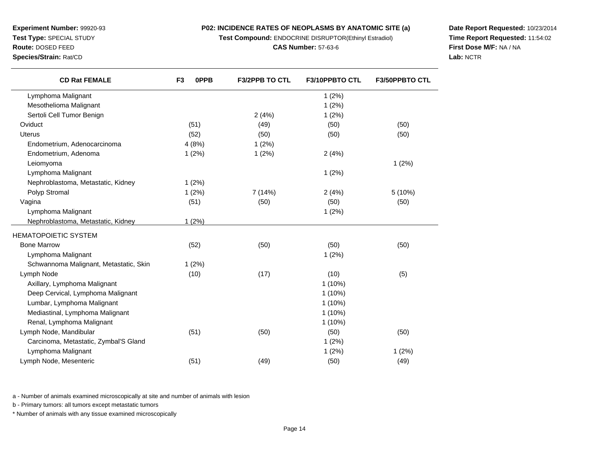**Test Compound:** ENDOCRINE DISRUPTOR(Ethinyl Estradiol)

**CAS Number:** 57-63-6

**Date Report Requested:** 10/23/2014**Time Report Requested:** 11:54:02**First Dose M/F:** NA / NA**Lab:** NCTR

| <b>CD Rat FEMALE</b>                   | 0PPB<br>F <sub>3</sub> | <b>F3/2PPB TO CTL</b> | F3/10PPBTO CTL | F3/50PPBTO CTL |
|----------------------------------------|------------------------|-----------------------|----------------|----------------|
| Lymphoma Malignant                     |                        |                       | 1(2%)          |                |
| Mesothelioma Malignant                 |                        |                       | 1(2%)          |                |
| Sertoli Cell Tumor Benign              |                        | 2(4%)                 | 1(2%)          |                |
| Oviduct                                | (51)                   | (49)                  | (50)           | (50)           |
| <b>Uterus</b>                          | (52)                   | (50)                  | (50)           | (50)           |
| Endometrium, Adenocarcinoma            | 4(8%)                  | 1(2%)                 |                |                |
| Endometrium, Adenoma                   | 1(2%)                  | 1(2%)                 | 2(4%)          |                |
| Leiomyoma                              |                        |                       |                | 1(2%)          |
| Lymphoma Malignant                     |                        |                       | 1(2%)          |                |
| Nephroblastoma, Metastatic, Kidney     | 1(2%)                  |                       |                |                |
| Polyp Stromal                          | 1(2%)                  | 7(14%)                | 2(4%)          | 5(10%)         |
| Vagina                                 | (51)                   | (50)                  | (50)           | (50)           |
| Lymphoma Malignant                     |                        |                       | 1(2%)          |                |
| Nephroblastoma, Metastatic, Kidney     | 1(2%)                  |                       |                |                |
| HEMATOPOIETIC SYSTEM                   |                        |                       |                |                |
| <b>Bone Marrow</b>                     | (52)                   | (50)                  | (50)           | (50)           |
| Lymphoma Malignant                     |                        |                       | 1(2%)          |                |
| Schwannoma Malignant, Metastatic, Skin | 1(2%)                  |                       |                |                |
| Lymph Node                             | (10)                   | (17)                  | (10)           | (5)            |
| Axillary, Lymphoma Malignant           |                        |                       | $1(10\%)$      |                |
| Deep Cervical, Lymphoma Malignant      |                        |                       | $1(10\%)$      |                |
| Lumbar, Lymphoma Malignant             |                        |                       | $1(10\%)$      |                |
| Mediastinal, Lymphoma Malignant        |                        |                       | $1(10\%)$      |                |
| Renal, Lymphoma Malignant              |                        |                       | $1(10\%)$      |                |
| Lymph Node, Mandibular                 | (51)                   | (50)                  | (50)           | (50)           |
| Carcinoma, Metastatic, Zymbal'S Gland  |                        |                       | 1(2%)          |                |
| Lymphoma Malignant                     |                        |                       | 1(2%)          | 1(2%)          |
| Lymph Node, Mesenteric                 | (51)                   | (49)                  | (50)           | (49)           |

a - Number of animals examined microscopically at site and number of animals with lesion

b - Primary tumors: all tumors except metastatic tumors

**Experiment Number:** 99920-93**Test Type:** SPECIAL STUDY**Route:** DOSED FEED**Species/Strain:** Rat/CD

 $\overline{\phantom{0}}$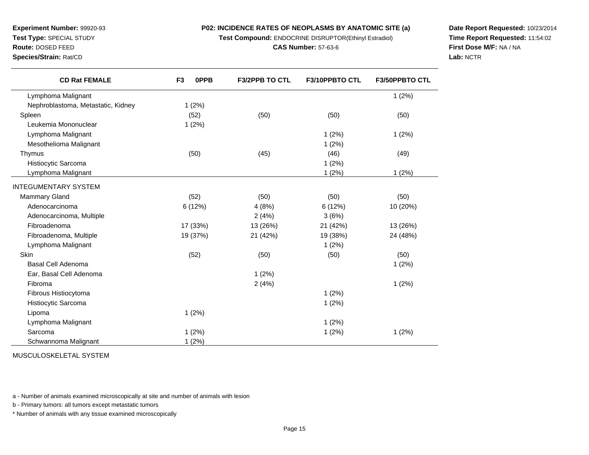**Test Compound:** ENDOCRINE DISRUPTOR(Ethinyl Estradiol)

**CAS Number:** 57-63-6

**Date Report Requested:** 10/23/2014**Time Report Requested:** 11:54:02**First Dose M/F:** NA / NA**Lab:** NCTR

| <b>Experiment Number: 99920-93</b> |  |  |  |  |
|------------------------------------|--|--|--|--|
|------------------------------------|--|--|--|--|

**Route:** DOSED FEED

**Test Type:** SPECIAL STUDY

**Species/Strain:** Rat/CD

| <b>CD Rat FEMALE</b>               | F <sub>3</sub><br><b>OPPB</b> | <b>F3/2PPB TO CTL</b> | <b>F3/10PPBTO CTL</b> | F3/50PPBTO CTL |
|------------------------------------|-------------------------------|-----------------------|-----------------------|----------------|
| Lymphoma Malignant                 |                               |                       |                       | 1(2%)          |
| Nephroblastoma, Metastatic, Kidney | 1(2%)                         |                       |                       |                |
| Spleen                             | (52)                          | (50)                  | (50)                  | (50)           |
| Leukemia Mononuclear               | 1(2%)                         |                       |                       |                |
| Lymphoma Malignant                 |                               |                       | 1(2%)                 | 1(2%)          |
| Mesothelioma Malignant             |                               |                       | 1(2%)                 |                |
| Thymus                             | (50)                          | (45)                  | (46)                  | (49)           |
| Histiocytic Sarcoma                |                               |                       | 1(2%)                 |                |
| Lymphoma Malignant                 |                               |                       | 1(2%)                 | 1(2%)          |
| <b>INTEGUMENTARY SYSTEM</b>        |                               |                       |                       |                |
| Mammary Gland                      | (52)                          | (50)                  | (50)                  | (50)           |
| Adenocarcinoma                     | 6(12%)                        | 4(8%)                 | 6(12%)                | 10 (20%)       |
| Adenocarcinoma, Multiple           |                               | 2(4%)                 | 3(6%)                 |                |
| Fibroadenoma                       | 17 (33%)                      | 13 (26%)              | 21 (42%)              | 13 (26%)       |
| Fibroadenoma, Multiple             | 19 (37%)                      | 21 (42%)              | 19 (38%)              | 24 (48%)       |
| Lymphoma Malignant                 |                               |                       | 1(2%)                 |                |
| Skin                               | (52)                          | (50)                  | (50)                  | (50)           |
| Basal Cell Adenoma                 |                               |                       |                       | 1(2%)          |
| Ear, Basal Cell Adenoma            |                               | 1(2%)                 |                       |                |
| Fibroma                            |                               | 2(4%)                 |                       | 1(2%)          |
| Fibrous Histiocytoma               |                               |                       | 1(2%)                 |                |
| Histiocytic Sarcoma                |                               |                       | 1(2%)                 |                |
| Lipoma                             | 1(2%)                         |                       |                       |                |
| Lymphoma Malignant                 |                               |                       | 1(2%)                 |                |
| Sarcoma                            | 1(2%)                         |                       | 1(2%)                 | 1(2%)          |
| Schwannoma Malignant               | 1(2%)                         |                       |                       |                |

MUSCULOSKELETAL SYSTEM

a - Number of animals examined microscopically at site and number of animals with lesion

b - Primary tumors: all tumors except metastatic tumors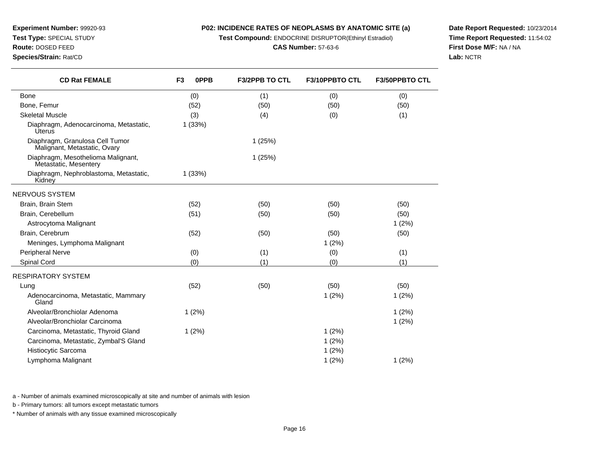**Test Compound:** ENDOCRINE DISRUPTOR(Ethinyl Estradiol)

**Date Report Requested:** 10/23/2014**Time Report Requested:** 11:54:02**First Dose M/F:** NA / NA**Lab:** NCTR

| <b>CD Rat FEMALE</b>                                            | 0PPB<br>F <sub>3</sub> | <b>F3/2PPB TO CTL</b> | F3/10PPBTO CTL | F3/50PPBTO CTL |
|-----------------------------------------------------------------|------------------------|-----------------------|----------------|----------------|
| <b>Bone</b>                                                     | (0)                    | (1)                   | (0)            | (0)            |
| Bone, Femur                                                     | (52)                   | (50)                  | (50)           | (50)           |
| <b>Skeletal Muscle</b>                                          | (3)                    | (4)                   | (0)            | (1)            |
| Diaphragm, Adenocarcinoma, Metastatic,<br>Uterus                | 1(33%)                 |                       |                |                |
| Diaphragm, Granulosa Cell Tumor<br>Malignant, Metastatic, Ovary |                        | 1(25%)                |                |                |
| Diaphragm, Mesothelioma Malignant,<br>Metastatic, Mesentery     |                        | 1 (25%)               |                |                |
| Diaphragm, Nephroblastoma, Metastatic,<br>Kidney                | 1(33%)                 |                       |                |                |
| NERVOUS SYSTEM                                                  |                        |                       |                |                |
| Brain, Brain Stem                                               | (52)                   | (50)                  | (50)           | (50)           |
| Brain, Cerebellum                                               | (51)                   | (50)                  | (50)           | (50)           |
| Astrocytoma Malignant                                           |                        |                       |                | 1(2%)          |
| Brain, Cerebrum                                                 | (52)                   | (50)                  | (50)           | (50)           |
| Meninges, Lymphoma Malignant                                    |                        |                       | 1(2%)          |                |
| Peripheral Nerve                                                | (0)                    | (1)                   | (0)            | (1)            |
| Spinal Cord                                                     | (0)                    | (1)                   | (0)            | (1)            |
| RESPIRATORY SYSTEM                                              |                        |                       |                |                |
| Lung                                                            | (52)                   | (50)                  | (50)           | (50)           |
| Adenocarcinoma, Metastatic, Mammary<br>Gland                    |                        |                       | 1(2%)          | 1(2%)          |
| Alveolar/Bronchiolar Adenoma                                    | 1(2%)                  |                       |                | 1(2%)          |
| Alveolar/Bronchiolar Carcinoma                                  |                        |                       |                | 1(2%)          |
| Carcinoma, Metastatic, Thyroid Gland                            | 1(2%)                  |                       | $1(2\%)$       |                |
| Carcinoma, Metastatic, Zymbal'S Gland                           |                        |                       | 1(2%)          |                |
| Histiocytic Sarcoma                                             |                        |                       | 1(2%)          |                |
| Lymphoma Malignant                                              |                        |                       | 1(2%)          | 1(2%)          |

a - Number of animals examined microscopically at site and number of animals with lesion

b - Primary tumors: all tumors except metastatic tumors

**Experiment Number:** 99920-93**Test Type:** SPECIAL STUDY**Route:** DOSED FEED**Species/Strain:** Rat/CD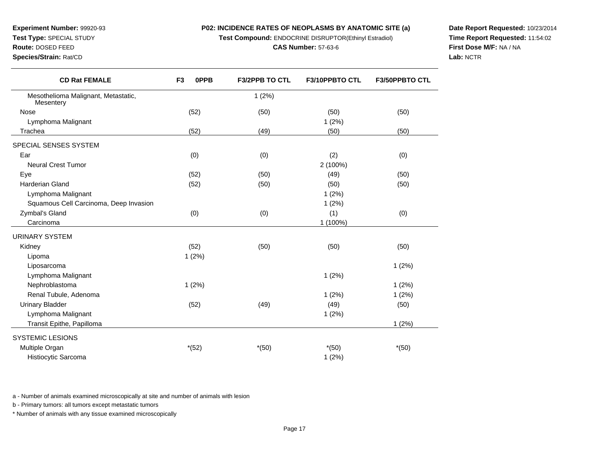**Test Compound:** ENDOCRINE DISRUPTOR(Ethinyl Estradiol)

**F3/2PPB TO CTL F3/10PPBTO CTL F3/50PPBTO CTL**

#### **CAS Number:** 57-63-6

1 (2%)

e (52) (52) (50) (50) (50) (50) (50)

a (52) (52) (49) (50) (50)

t the contract of  $1 (2\%)$ 

**Date Report Requested:** 10/23/2014**Time Report Requested:** 11:54:02**First Dose M/F:** NA / NA**Lab:** NCTR

| Ear                                    | (0)     | (0)     | (2)      | (0)     |
|----------------------------------------|---------|---------|----------|---------|
| <b>Neural Crest Tumor</b>              |         |         | 2 (100%) |         |
| Eye                                    | (52)    | (50)    | (49)     | (50)    |
| <b>Harderian Gland</b>                 | (52)    | (50)    | (50)     | (50)    |
| Lymphoma Malignant                     |         |         | 1(2%)    |         |
| Squamous Cell Carcinoma, Deep Invasion |         |         | 1(2%)    |         |
| Zymbal's Gland                         | (0)     | (0)     | (1)      | (0)     |
| Carcinoma                              |         |         | 1 (100%) |         |
| URINARY SYSTEM                         |         |         |          |         |
| Kidney                                 | (52)    | (50)    | (50)     | (50)    |
| Lipoma                                 | 1(2%)   |         |          |         |
| Liposarcoma                            |         |         |          | 1(2%)   |
| Lymphoma Malignant                     |         |         | 1(2%)    |         |
| Nephroblastoma                         | 1(2%)   |         |          | 1(2%)   |
| Renal Tubule, Adenoma                  |         |         | 1(2%)    | 1(2%)   |
| <b>Urinary Bladder</b>                 | (52)    | (49)    | (49)     | (50)    |
| Lymphoma Malignant                     |         |         | 1(2%)    |         |
| Transit Epithe, Papilloma              |         |         |          | 1(2%)   |
| SYSTEMIC LESIONS                       |         |         |          |         |
| Multiple Organ                         | $*(52)$ | $*(50)$ | $*(50)$  | $*(50)$ |
| Histiocytic Sarcoma                    |         |         | 1(2%)    |         |
|                                        |         |         |          |         |

**F3 0PPB**

a - Number of animals examined microscopically at site and number of animals with lesion

b - Primary tumors: all tumors except metastatic tumors

**Experiment Number:** 99920-93**Test Type:** SPECIAL STUDY**Route:** DOSED FEED**Species/Strain:** Rat/CD

**Mesentery** 

Lymphoma Malignant

SPECIAL SENSES SYSTEM

Nose

Trachea

**CD Rat FEMALE**

Mesothelioma Malignant, Metastatic,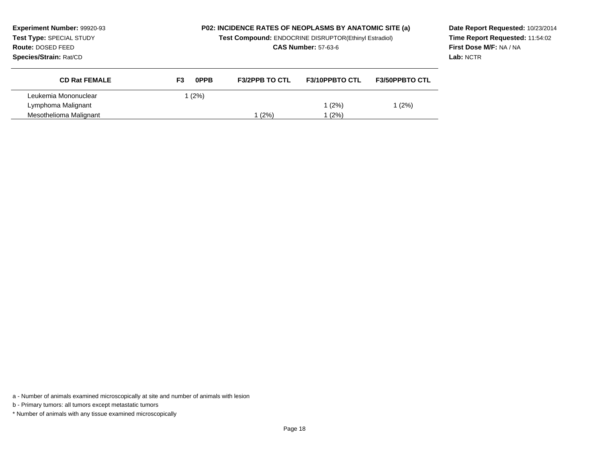| <b>Experiment Number: 99920-93</b><br>Test Type: SPECIAL STUDY<br>Route: DOSED FEED<br>Species/Strain: Rat/CD |    | <b>P02: INCIDENCE RATES OF NEOPLASMS BY ANATOMIC SITE (a)</b><br>Test Compound: ENDOCRINE DISRUPTOR(Ethinyl Estradiol)<br><b>CAS Number: 57-63-6</b> |                       |                       | Date Report Requested: 10/23/2014<br>Time Report Requested: 11:54:02<br>First Dose M/F: NA / NA<br>Lab: NCTR |  |
|---------------------------------------------------------------------------------------------------------------|----|------------------------------------------------------------------------------------------------------------------------------------------------------|-----------------------|-----------------------|--------------------------------------------------------------------------------------------------------------|--|
| <b>CD Rat FEMALE</b>                                                                                          | F3 | 0PPB                                                                                                                                                 | <b>F3/2PPB TO CTL</b> | <b>F3/10PPBTO CTL</b> | <b>F3/50PPBTO CTL</b>                                                                                        |  |
| Leukemia Mononuclear                                                                                          |    | (2%)                                                                                                                                                 |                       |                       |                                                                                                              |  |
| Lymphoma Malignant                                                                                            |    |                                                                                                                                                      |                       | (2%)                  | 1 (2%)                                                                                                       |  |
| Mesothelioma Malignant                                                                                        |    |                                                                                                                                                      | (2%)                  | (2%)                  |                                                                                                              |  |

a - Number of animals examined microscopically at site and number of animals with lesion

b - Primary tumors: all tumors except metastatic tumors

\* Number of animals with any tissue examined microscopically